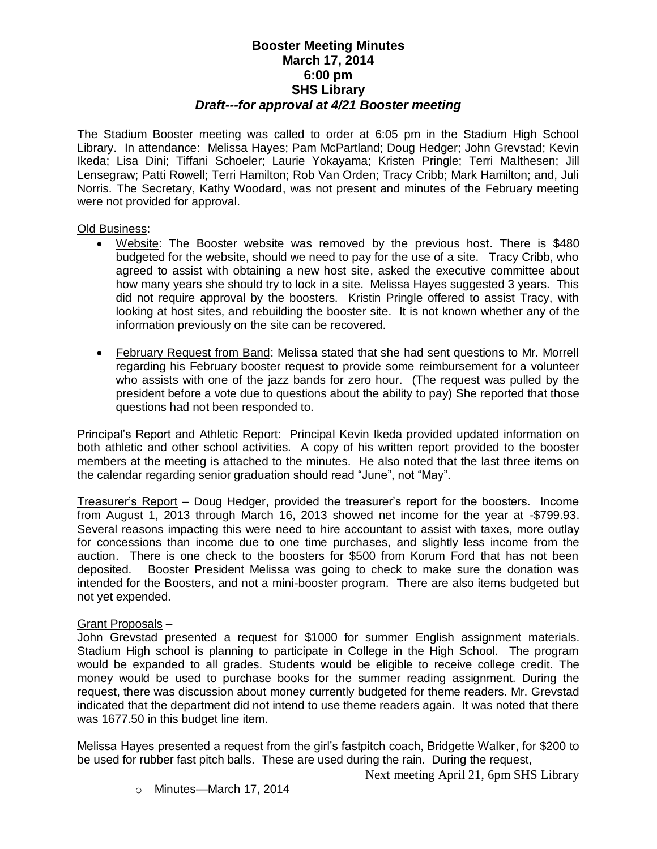## **Booster Meeting Minutes March 17, 2014 6:00 pm SHS Library** *Draft---for approval at 4/21 Booster meeting*

The Stadium Booster meeting was called to order at 6:05 pm in the Stadium High School Library. In attendance: Melissa Hayes; Pam McPartland; Doug Hedger; John Grevstad; Kevin Ikeda; Lisa Dini; Tiffani Schoeler; Laurie Yokayama; Kristen Pringle; Terri Malthesen; Jill Lensegraw; Patti Rowell; Terri Hamilton; Rob Van Orden; Tracy Cribb; Mark Hamilton; and, Juli Norris. The Secretary, Kathy Woodard, was not present and minutes of the February meeting were not provided for approval.

Old Business:

- Website: The Booster website was removed by the previous host. There is \$480 budgeted for the website, should we need to pay for the use of a site. Tracy Cribb, who agreed to assist with obtaining a new host site, asked the executive committee about how many years she should try to lock in a site. Melissa Hayes suggested 3 years. This did not require approval by the boosters. Kristin Pringle offered to assist Tracy, with looking at host sites, and rebuilding the booster site. It is not known whether any of the information previously on the site can be recovered.
- February Request from Band: Melissa stated that she had sent questions to Mr. Morrell regarding his February booster request to provide some reimbursement for a volunteer who assists with one of the jazz bands for zero hour. (The request was pulled by the president before a vote due to questions about the ability to pay) She reported that those questions had not been responded to.

Principal's Report and Athletic Report: Principal Kevin Ikeda provided updated information on both athletic and other school activities. A copy of his written report provided to the booster members at the meeting is attached to the minutes. He also noted that the last three items on the calendar regarding senior graduation should read "June", not "May".

Treasurer's Report – Doug Hedger, provided the treasurer's report for the boosters. Income from August 1, 2013 through March 16, 2013 showed net income for the year at -\$799.93. Several reasons impacting this were need to hire accountant to assist with taxes, more outlay for concessions than income due to one time purchases, and slightly less income from the auction. There is one check to the boosters for \$500 from Korum Ford that has not been deposited. Booster President Melissa was going to check to make sure the donation was intended for the Boosters, and not a mini-booster program. There are also items budgeted but not yet expended.

## Grant Proposals –

John Grevstad presented a request for \$1000 for summer English assignment materials. Stadium High school is planning to participate in College in the High School. The program would be expanded to all grades. Students would be eligible to receive college credit. The money would be used to purchase books for the summer reading assignment. During the request, there was discussion about money currently budgeted for theme readers. Mr. Grevstad indicated that the department did not intend to use theme readers again. It was noted that there was 1677.50 in this budget line item.

Melissa Hayes presented a request from the girl's fastpitch coach, Bridgette Walker, for \$200 to be used for rubber fast pitch balls. These are used during the rain. During the request,

Next meeting April 21, 6pm SHS Library

o Minutes—March 17, 2014